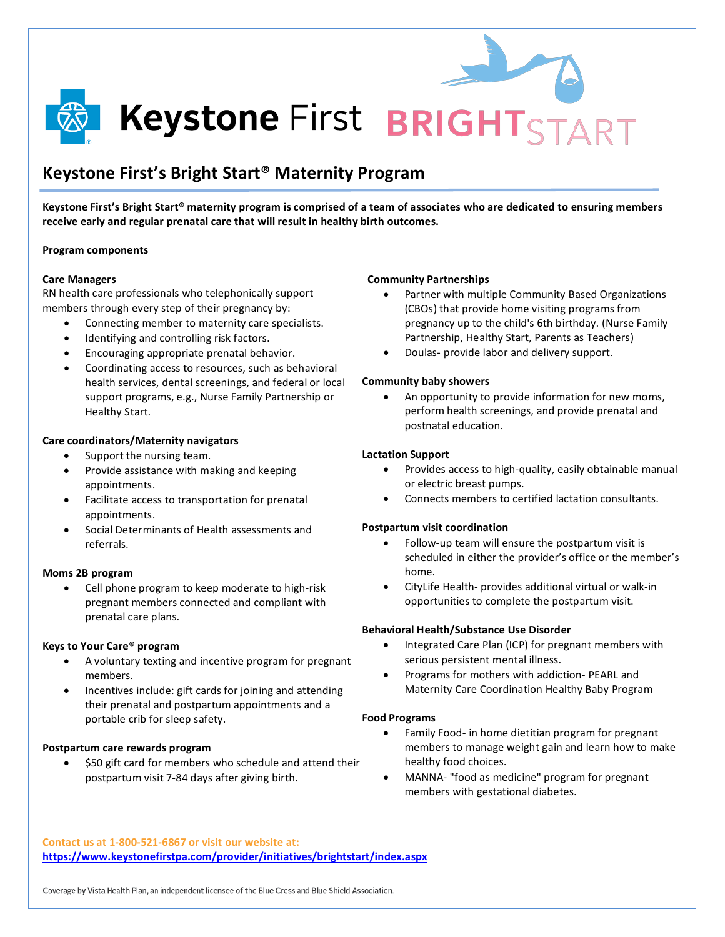

**Keystone First BRIGHTSTART** 

## **Keystone First's Bright Start® Maternity Program**

**Keystone First's Bright Start® maternity program is comprised of a team of associates who are dedicated to ensuring members receive early and regular prenatal care that will result in healthy birth outcomes.**

#### **Program components**

#### **Care Managers**

RN health care professionals who telephonically support members through every step of their pregnancy by:

- Connecting member to maternity care specialists.
- Identifying and controlling risk factors.
- Encouraging appropriate prenatal behavior.
- Coordinating access to resources, such as behavioral health services, dental screenings, and federal or local support programs, e.g., Nurse Family Partnership or Healthy Start.

#### **Care coordinators/Maternity navigators**

- Support the nursing team.
- Provide assistance with making and keeping appointments.
- Facilitate access to transportation for prenatal appointments.
- Social Determinants of Health assessments and referrals.

#### **Moms 2B program**

• Cell phone program to keep moderate to high-risk pregnant members connected and compliant with prenatal care plans.

#### **Keys to Your Care® program**

- A voluntary texting and incentive program for pregnant members.
- Incentives include: gift cards for joining and attending their prenatal and postpartum appointments and a portable crib for sleep safety.

#### **Postpartum care rewards program**

• \$50 gift card for members who schedule and attend their postpartum visit 7-84 days after giving birth.

#### **Community Partnerships**

- Partner with multiple Community Based Organizations (CBOs) that provide home visiting programs from pregnancy up to the child's 6th birthday. (Nurse Family Partnership, Healthy Start, Parents as Teachers)
- Doulas- provide labor and delivery support.

#### **Community baby showers**

• An opportunity to provide information for new moms, perform health screenings, and provide prenatal and postnatal education.

#### **Lactation Support**

- Provides access to high-quality, easily obtainable manual or electric breast pumps.
- Connects members to certified lactation consultants.

#### **Postpartum visit coordination**

- Follow-up team will ensure the postpartum visit is scheduled in either the provider's office or the member's home.
- CityLife Health- provides additional virtual or walk-in opportunities to complete the postpartum visit.

#### **Behavioral Health/Substance Use Disorder**

- Integrated Care Plan (ICP) for pregnant members with serious persistent mental illness.
- Programs for mothers with addiction- PEARL and Maternity Care Coordination Healthy Baby Program

### **Food Programs**

- Family Food- in home dietitian program for pregnant members to manage weight gain and learn how to make healthy food choices.
- MANNA- "food as medicine" program for pregnant members with gestational diabetes.

**Contact us at 1-800-521-6867 or visit our website at: <https://www.keystonefirstpa.com/provider/initiatives/brightstart/index.aspx>**

Coverage by Vista Health Plan, an independent licensee of the Blue Cross and Blue Shield Association.